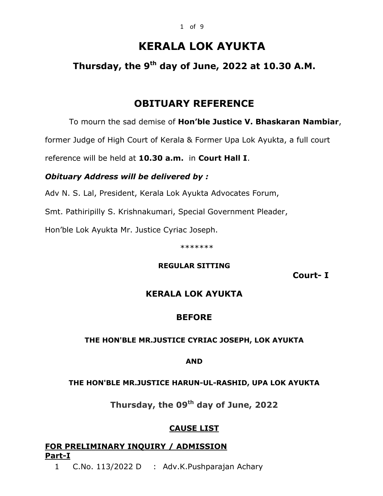# **KERALA LOK AYUKTA**

## **Thursday, the 9th day of June, 2022 at 10.30 A.M.**

## **OBITUARY REFERENCE**

To mourn the sad demise of **Hon'ble Justice V. Bhaskaran Nambiar**,

former Judge of High Court of Kerala & Former Upa Lok Ayukta, a full court

reference will be held at **10.30 a.m.** in **Court Hall I**.

### *Obituary Address will be delivered by :*

Adv N. S. Lal, President, Kerala Lok Ayukta Advocates Forum,

Smt. Pathiripilly S. Krishnakumari, Special Government Pleader,

Hon'ble Lok Ayukta Mr. Justice Cyriac Joseph.

\*\*\*\*\*\*\*

### **REGULAR SITTING**

 **Court- I**

## **KERALA LOK AYUKTA**

## **BEFORE**

### **THE HON'BLE MR.JUSTICE CYRIAC JOSEPH, LOK AYUKTA**

**AND**

### **THE HON'BLE MR.JUSTICE HARUN-UL-RASHID, UPA LOK AYUKTA**

**Thursday, the 09th day of June, 2022** 

### **CAUSE LIST**

## **FOR PRELIMINARY INQUIRY / ADMISSION Part-I**

1 C.No. 113/2022 D : Adv.K.Pushparajan Achary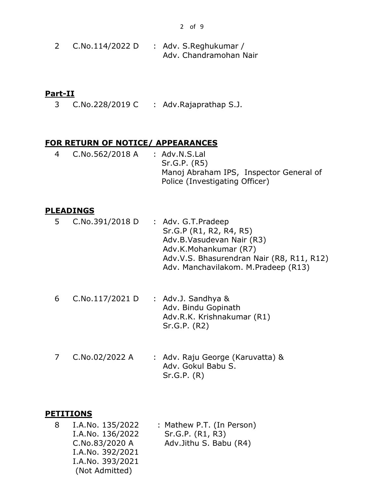2 C.No.114/2022 D : Adv. S.Reghukumar / Adv. Chandramohan Nair

#### **Part-II**

3 C.No.228/2019 C : Adv.Rajaprathap S.J.

### **FOR RETURN OF NOTICE/ APPEARANCES**

4 C.No.562/2018 A : Adv.N.S.Lal Sr.G.P. (R5) Manoj Abraham IPS, Inspector General of Police (Investigating Officer)

### **PLEADINGS**

| 5 | C.No.391/2018 D | : Adv. G.T. Pradeep<br>Sr.G.P (R1, R2, R4, R5)<br>Adv.B.Vasudevan Nair (R3)<br>Adv.K.Mohankumar (R7)<br>Adv.V.S. Bhasurendran Nair (R8, R11, R12)<br>Adv. Manchavilakom. M.Pradeep (R13) |
|---|-----------------|------------------------------------------------------------------------------------------------------------------------------------------------------------------------------------------|
| 6 | C.No.117/2021 D | : Adv.J. Sandhya &<br>Adv. Bindu Gopinath<br>Adv.R.K. Krishnakumar (R1)<br>Sr.G.P. (R2)                                                                                                  |
|   | C.No.02/2022 A  | : Adv. Raju George (Karuvatta) &<br>Ady Colul Rahu C                                                                                                                                     |

Adv. Gokul Babu S. Sr.G.P. (R)

### **PETITIONS**

8 I.A.No. 135/2022 I.A.No. 136/2022 C.No.83/2020 A I.A.No. 392/2021 I.A.No. 393/2021 (Not Admitted) : Mathew P.T. (In Person) Sr.G.P. (R1, R3) Adv.Jithu S. Babu (R4)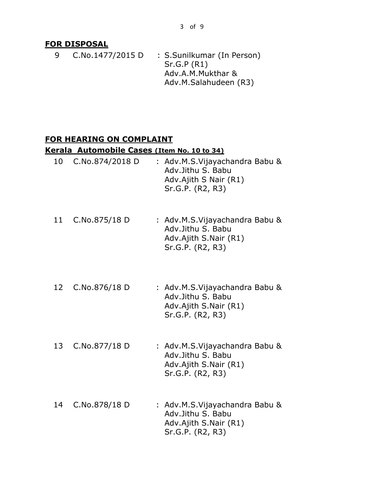### **FOR DISPOSAL**

- 9 C.No.1477/2015 D : S.Sunilkumar (In Person) Sr.G.P (R1)
	- Adv.A.M.Mukthar & Adv.M.Salahudeen (R3)

### **FOR HEARING ON COMPLAINT**

### **Kerala Automobile Cases (Item No. 10 to 34)**

| 10 | C.No.874/2018 D | : Adv.M.S.Vijayachandra Babu &<br>Adv.Jithu S. Babu<br>Adv.Ajith S Nair (R1)<br>Sr.G.P. (R2, R3) |
|----|-----------------|--------------------------------------------------------------------------------------------------|
| 11 | C.No.875/18 D   | : Adv.M.S.Vijayachandra Babu &<br>Adv.Jithu S. Babu<br>Adv.Ajith S.Nair (R1)<br>Sr.G.P. (R2, R3) |
| 12 | C.No.876/18 D   | : Adv.M.S.Vijayachandra Babu &<br>Adv.Jithu S. Babu<br>Adv.Ajith S.Nair (R1)<br>Sr.G.P. (R2, R3) |
| 13 | C.No.877/18 D   | : Adv.M.S.Vijayachandra Babu &<br>Adv.Jithu S. Babu<br>Adv.Ajith S.Nair (R1)<br>Sr.G.P. (R2, R3) |
| 14 | C.No.878/18 D   | : Adv.M.S.Vijayachandra Babu &<br>Adv.Jithu S. Babu<br>Adv.Ajith S.Nair (R1)<br>Sr.G.P. (R2, R3) |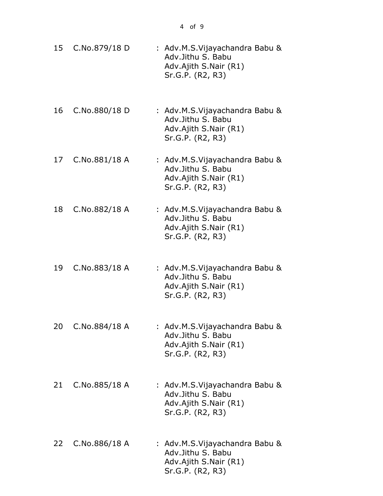|    |               | 4 of 9                                                                                            |  |
|----|---------------|---------------------------------------------------------------------------------------------------|--|
| 15 | C.No.879/18 D | : Adv.M.S.Vijayachandra Babu &<br>Adv.Jithu S. Babu<br>Adv.Ajith S.Nair (R1)<br>Sr.G.P. (R2, R3)  |  |
| 16 | C.No.880/18 D | : Adv.M.S.Vijayachandra Babu &<br>Adv.Jithu S. Babu<br>Adv.Ajith S.Nair (R1)<br>Sr.G.P. (R2, R3)  |  |
| 17 | C.No.881/18 A | : Adv.M.S.Vijayachandra Babu &<br>Adv.Jithu S. Babu<br>Adv.Ajith S.Nair (R1)<br>Sr.G.P. (R2, R3)  |  |
| 18 | C.No.882/18 A | : Adv.M.S.Vijayachandra Babu &<br>Adv.Jithu S. Babu<br>Adv.Ajith S.Nair (R1)<br>Sr.G.P. (R2, R3)  |  |
| 19 | C.No.883/18 A | : Adv.M.S.Vijayachandra Babu &<br>Adv.Jithu S. Babu<br>Adv.Ajith S.Nair (R1)<br>Sr.G.P. (R2, R3)  |  |
| 20 | C.No.884/18 A | : Adv.M.S.Vijayachandra Babu &<br>Adv. Jithu S. Babu<br>Adv.Ajith S.Nair (R1)<br>Sr.G.P. (R2, R3) |  |

- 21 C.No.885/18 A : Adv.M.S.Vijayachandra Babu & Adv.Jithu S. Babu Adv.Ajith S.Nair (R1) Sr.G.P. (R2, R3)
- 22 C.No.886/18 A : Adv.M.S.Vijayachandra Babu & Adv.Jithu S. Babu Adv.Ajith S.Nair (R1) Sr.G.P. (R2, R3)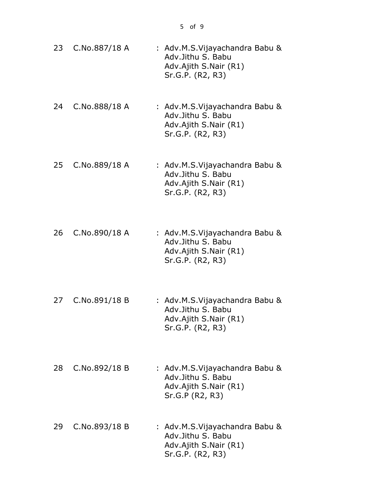5 of 9

- 23 C.No.887/18 A : Adv.M.S.Vijayachandra Babu & Adv.Jithu S. Babu Adv.Ajith S.Nair (R1) Sr.G.P. (R2, R3)
- 24 C.No.888/18 A : Adv.M.S.Vijayachandra Babu & Adv.Jithu S. Babu Adv.Ajith S.Nair (R1) Sr.G.P. (R2, R3)
- 25 C.No.889/18 A : Adv.M.S.Vijayachandra Babu & Adv.Jithu S. Babu Adv.Ajith S.Nair (R1) Sr.G.P. (R2, R3)
- 26 C.No.890/18 A : Adv.M.S.Vijayachandra Babu & Adv.Jithu S. Babu Adv.Ajith S.Nair (R1) Sr.G.P. (R2, R3)
- 27 C.No.891/18 B : Adv.M.S.Vijayachandra Babu & Adv.Jithu S. Babu Adv.Ajith S.Nair (R1) Sr.G.P. (R2, R3)
- 28 C.No.892/18 B : Adv.M.S.Vijayachandra Babu & Adv.Jithu S. Babu Adv.Ajith S.Nair (R1) Sr.G.P (R2, R3)
- 29 C.No.893/18 B : Adv.M.S.Vijayachandra Babu & Adv.Jithu S. Babu Adv.Ajith S.Nair (R1) Sr.G.P. (R2, R3)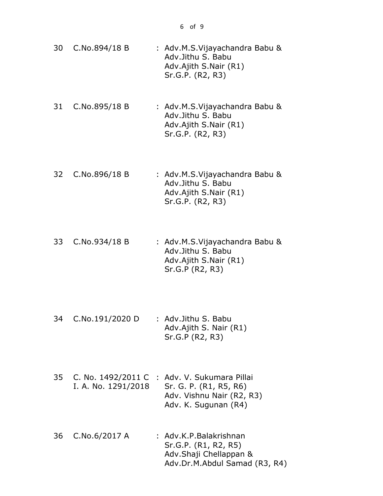- 30 C.No.894/18 B : Adv.M.S.Vijayachandra Babu & Adv.Jithu S. Babu Adv.Ajith S.Nair (R1) Sr.G.P. (R2, R3)
- 31 C.No.895/18 B : Adv.M.S.Vijayachandra Babu & Adv.Jithu S. Babu Adv.Ajith S.Nair (R1) Sr.G.P. (R2, R3)
- 32 C.No.896/18 B : Adv.M.S.Vijayachandra Babu & Adv.Jithu S. Babu Adv.Ajith S.Nair (R1) Sr.G.P. (R2, R3)
- 33 C.No.934/18 B : Adv.M.S.Vijayachandra Babu & Adv.Jithu S. Babu Adv.Ajith S.Nair (R1) Sr.G.P (R2, R3)
- 34 C.No.191/2020 D : Adv.Jithu S. Babu Adv.Ajith S. Nair (R1) Sr.G.P (R2, R3)
- 35 C. No. 1492/2011 C : Adv. V. Sukumara Pillai I. A. No. 1291/2018 Sr. G. P. (R1, R5, R6) Adv. Vishnu Nair (R2, R3) Adv. K. Sugunan (R4)
- 36 C.No.6/2017 A : Adv.K.P.Balakrishnan Sr.G.P. (R1, R2, R5) Adv.Shaji Chellappan & Adv.Dr.M.Abdul Samad (R3, R4)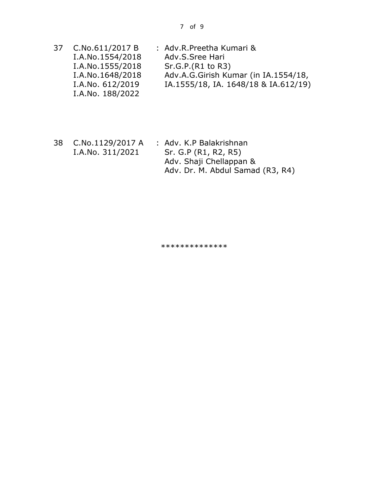| 37 | C.No.611/2017 B  | : Adv.R.Preetha Kumari &             |
|----|------------------|--------------------------------------|
|    | I.A.No.1554/2018 | Adv.S.Sree Hari                      |
|    | I.A.No.1555/2018 | Sr.G.P.(R1 to R3)                    |
|    | I.A.No.1648/2018 | Adv.A.G.Girish Kumar (in IA.1554/18, |
|    | I.A.No. 612/2019 | IA.1555/18, IA. 1648/18 & IA.612/19) |
|    | I.A.No. 188/2022 |                                      |

38 C.No.1129/2017 A I.A.No. 311/2021 : Adv. K.P Balakrishnan Sr. G.P (R1, R2, R5) Adv. Shaji Chellappan & Adv. Dr. M. Abdul Samad (R3, R4)

\*\*\*\*\*\*\*\*\*\*\*\*\*\*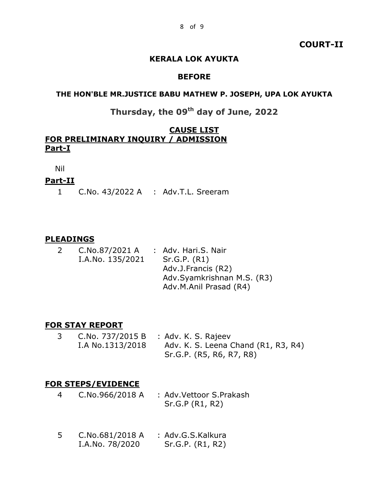### **COURT-II**

### **KERALA LOK AYUKTA**

#### **BEFORE**

#### **THE HON'BLE MR.JUSTICE BABU MATHEW P. JOSEPH, UPA LOK AYUKTA**

## **Thursday, the 09th day of June, 2022**

### **CAUSE LIST FOR PRELIMINARY INQUIRY / ADMISSION Part-I**

Nil

### **Part-II**

1 C.No. 43/2022 A : Adv.T.L. Sreeram

#### **PLEADINGS**

| <sup>2</sup> | C.No.87/2021 A   | : Adv. Hari.S. Nair        |
|--------------|------------------|----------------------------|
|              | I.A.No. 135/2021 | Sr.G.P. (R1)               |
|              |                  | Adv.J.Francis (R2)         |
|              |                  | Adv.Syamkrishnan M.S. (R3) |
|              |                  | Adv.M.Anil Prasad (R4)     |

### **FOR STAY REPORT**

3 C.No. 737/2015 B I.A No.1313/2018 : Adv. K. S. Rajeev Adv. K. S. Leena Chand (R1, R3, R4) Sr.G.P. (R5, R6, R7, R8)

### **FOR STEPS/EVIDENCE**

- 4 C.No.966/2018 A : Adv.Vettoor S.Prakash Sr.G.P (R1, R2)
- 5 C.No.681/2018 A : Adv.G.S.Kalkura I.A.No. 78/2020 Sr.G.P. (R1, R2)